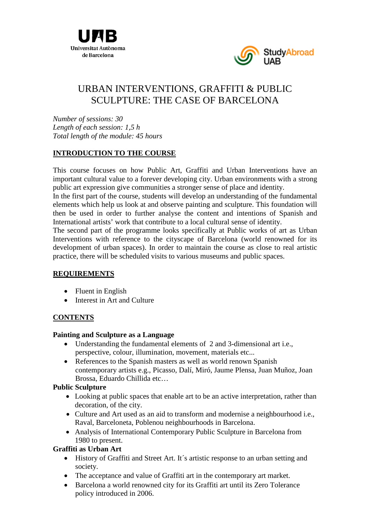



# URBAN INTERVENTIONS, GRAFFITI & PUBLIC SCULPTURE: THE CASE OF BARCELONA

*Number of sessions: 30 Length of each session: 1,5 h Total length of the module: 45 hours*

#### **INTRODUCTION TO THE COURSE**

This course focuses on how Public Art, Graffiti and Urban Interventions have an important cultural value to a forever developing city. Urban environments with a strong public art expression give communities a stronger sense of place and identity.

In the first part of the course, students will develop an understanding of the fundamental elements which help us look at and observe painting and sculpture. This foundation will then be used in order to further analyse the content and intentions of Spanish and International artists' work that contribute to a local cultural sense of identity.

The second part of the programme looks specifically at Public works of art as Urban Interventions with reference to the cityscape of Barcelona (world renowned for its development of urban spaces). In order to maintain the course as close to real artistic practice, there will be scheduled visits to various museums and public spaces.

# **REQUIREMENTS**

- Fluent in English
- Interest in Art and Culture

# **CONTENTS**

#### **Painting and Sculpture as a Language**

- Understanding the fundamental elements of 2 and 3-dimensional art i.e., perspective, colour, illumination, movement, materials etc...
- References to the Spanish masters as well as world renown Spanish contemporary artists e.g., Picasso, Dalí, Miró, Jaume Plensa, Juan Muñoz, Joan Brossa, Eduardo Chillida etc…

#### **Public Sculpture**

- Looking at public spaces that enable art to be an active interpretation, rather than decoration, of the city.
- Culture and Art used as an aid to transform and modernise a neighbourhood i.e., Raval, Barceloneta, Poblenou neighbourhoods in Barcelona.
- Analysis of International Contemporary Public Sculpture in Barcelona from 1980 to present.

#### **Graffiti as Urban Art**

- History of Graffiti and Street Art. It's artistic response to an urban setting and society.
- The acceptance and value of Graffiti art in the contemporary art market.
- Barcelona a world renowned city for its Graffiti art until its Zero Tolerance policy introduced in 2006.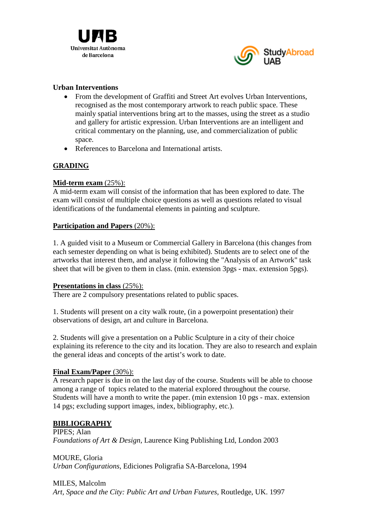



#### **Urban Interventions**

- From the development of Graffiti and Street Art evolves Urban Interventions, recognised as the most contemporary artwork to reach public space. These mainly spatial interventions bring art to the masses, using the street as a studio and gallery for artistic expression. Urban Interventions are an intelligent and critical commentary on the planning, use, and commercialization of public space.
- References to Barcelona and International artists.

# **GRADING**

# **Mid-term exam** (25%):

A mid-term exam will consist of the information that has been explored to date. The exam will consist of multiple choice questions as well as questions related to visual identifications of the fundamental elements in painting and sculpture.

#### **Participation and Papers** (20%):

1. A guided visit to a Museum or Commercial Gallery in Barcelona (this changes from each semester depending on what is being exhibited). Students are to select one of the artworks that interest them, and analyse it following the "Analysis of an Artwork" task sheet that will be given to them in class. (min. extension 3pgs - max. extension 5pgs).

#### **Presentations in class** (25%):

There are 2 compulsory presentations related to public spaces.

1. Students will present on a city walk route, (in a powerpoint presentation) their observations of design, art and culture in Barcelona.

2. Students will give a presentation on a Public Sculpture in a city of their choice explaining its reference to the city and its location. They are also to research and explain the general ideas and concepts of the artist's work to date.

# **Final Exam/Paper** (30%):

A research paper is due in on the last day of the course. Students will be able to choose among a range of topics related to the material explored throughout the course. Students will have a month to write the paper. (min extension 10 pgs - max. extension 14 pgs; excluding support images, index, bibliography, etc.).

# **BIBLIOGRAPHY**

PIPES; Alan *Foundations of Art & Design,* Laurence King Publishing Ltd, London 2003

MOURE, Gloria *Urban Configurations*, Ediciones Poligrafia SA-Barcelona, 1994

MILES, Malcolm *Art, Space and the City: Public Art and Urban Futures,* Routledge, UK. 1997